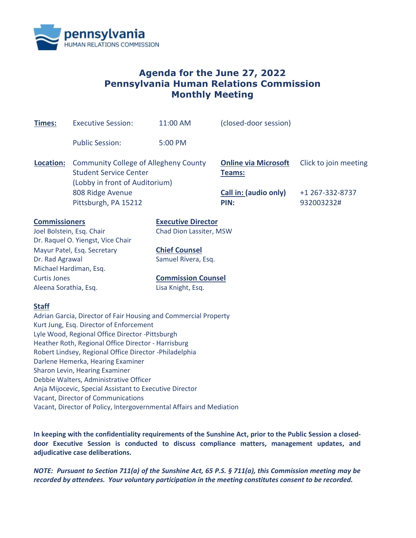

# **Agenda for the June 27, 2022 Pennsylvania Human Relations Commission Monthly Meeting**

| <b>Executive Session:</b>                         | 11:00 AM                                                                                                                                                                             | (closed-door session)                                                                                                                                                                                                                                                                                                                                                                                                               |                                                                                                                                                                                                                             |  |
|---------------------------------------------------|--------------------------------------------------------------------------------------------------------------------------------------------------------------------------------------|-------------------------------------------------------------------------------------------------------------------------------------------------------------------------------------------------------------------------------------------------------------------------------------------------------------------------------------------------------------------------------------------------------------------------------------|-----------------------------------------------------------------------------------------------------------------------------------------------------------------------------------------------------------------------------|--|
| <b>Public Session:</b>                            | 5:00 PM                                                                                                                                                                              |                                                                                                                                                                                                                                                                                                                                                                                                                                     |                                                                                                                                                                                                                             |  |
|                                                   |                                                                                                                                                                                      | <b>Online via Microsoft</b><br>Teams:                                                                                                                                                                                                                                                                                                                                                                                               | Click to join meeting                                                                                                                                                                                                       |  |
| 808 Ridge Avenue<br>Pittsburgh, PA 15212          |                                                                                                                                                                                      | <b>Call in: (audio only)</b><br>PIN:                                                                                                                                                                                                                                                                                                                                                                                                | +1 267-332-8737<br>932003232#                                                                                                                                                                                               |  |
| <b>Commissioners</b><br>Joel Bolstein, Esq. Chair |                                                                                                                                                                                      |                                                                                                                                                                                                                                                                                                                                                                                                                                     |                                                                                                                                                                                                                             |  |
|                                                   | <b>Chief Counsel</b>                                                                                                                                                                 |                                                                                                                                                                                                                                                                                                                                                                                                                                     |                                                                                                                                                                                                                             |  |
| Dr. Rad Agrawal                                   |                                                                                                                                                                                      | Samuel Rivera, Esq.                                                                                                                                                                                                                                                                                                                                                                                                                 |                                                                                                                                                                                                                             |  |
| Michael Hardiman, Esq.                            |                                                                                                                                                                                      |                                                                                                                                                                                                                                                                                                                                                                                                                                     |                                                                                                                                                                                                                             |  |
| <b>Curtis Jones</b>                               |                                                                                                                                                                                      |                                                                                                                                                                                                                                                                                                                                                                                                                                     |                                                                                                                                                                                                                             |  |
| Aleena Sorathia, Esq.                             | Lisa Knight, Esq.                                                                                                                                                                    |                                                                                                                                                                                                                                                                                                                                                                                                                                     |                                                                                                                                                                                                                             |  |
|                                                   |                                                                                                                                                                                      |                                                                                                                                                                                                                                                                                                                                                                                                                                     |                                                                                                                                                                                                                             |  |
|                                                   |                                                                                                                                                                                      |                                                                                                                                                                                                                                                                                                                                                                                                                                     |                                                                                                                                                                                                                             |  |
|                                                   |                                                                                                                                                                                      |                                                                                                                                                                                                                                                                                                                                                                                                                                     |                                                                                                                                                                                                                             |  |
|                                                   |                                                                                                                                                                                      |                                                                                                                                                                                                                                                                                                                                                                                                                                     |                                                                                                                                                                                                                             |  |
|                                                   |                                                                                                                                                                                      |                                                                                                                                                                                                                                                                                                                                                                                                                                     |                                                                                                                                                                                                                             |  |
|                                                   |                                                                                                                                                                                      |                                                                                                                                                                                                                                                                                                                                                                                                                                     |                                                                                                                                                                                                                             |  |
|                                                   |                                                                                                                                                                                      |                                                                                                                                                                                                                                                                                                                                                                                                                                     |                                                                                                                                                                                                                             |  |
|                                                   |                                                                                                                                                                                      |                                                                                                                                                                                                                                                                                                                                                                                                                                     |                                                                                                                                                                                                                             |  |
|                                                   |                                                                                                                                                                                      |                                                                                                                                                                                                                                                                                                                                                                                                                                     |                                                                                                                                                                                                                             |  |
|                                                   |                                                                                                                                                                                      |                                                                                                                                                                                                                                                                                                                                                                                                                                     |                                                                                                                                                                                                                             |  |
|                                                   |                                                                                                                                                                                      |                                                                                                                                                                                                                                                                                                                                                                                                                                     |                                                                                                                                                                                                                             |  |
|                                                   | Dr. Raquel O. Yiengst, Vice Chair<br>Mayur Patel, Esq. Secretary<br>Darlene Hemerka, Hearing Examiner<br>Sharon Levin, Hearing Examiner<br><b>Vacant, Director of Communications</b> | <b>Community College of Allegheny County</b><br><b>Student Service Center</b><br>(Lobby in front of Auditorium)<br>Kurt Jung, Esq. Director of Enforcement<br>Lyle Wood, Regional Office Director -Pittsburgh<br>Heather Roth, Regional Office Director - Harrisburg<br>Robert Lindsey, Regional Office Director -Philadelphia<br>Debbie Walters, Administrative Officer<br>Anja Mijocevic, Special Assistant to Executive Director | <b>Executive Director</b><br>Chad Dion Lassiter, MSW<br><b>Commission Counsel</b><br>Adrian Garcia, Director of Fair Housing and Commercial Property<br>Vacant, Director of Policy, Intergovernmental Affairs and Mediation |  |

**In keeping with the confidentiality requirements of the Sunshine Act, prior to the Public Session a closeddoor Executive Session is conducted to discuss compliance matters, management updates, and adjudicative case deliberations.**

*NOTE: Pursuant to Section 711(a) of the Sunshine Act, 65 P.S. § 711(a), this Commission meeting may be recorded by attendees. Your voluntary participation in the meeting constitutes consent to be recorded.*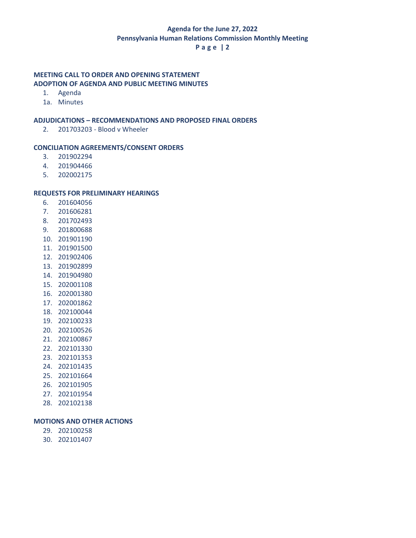## **Agenda for the June 27, 2022 Pennsylvania Human Relations Commission Monthly Meeting**

## **P a g e | 2**

## **MEETING CALL TO ORDER AND OPENING STATEMENT ADOPTION OF AGENDA AND PUBLIC MEETING MINUTES**

- 1. Agenda
- 1a. Minutes

## **ADJUDICATIONS – RECOMMENDATIONS AND PROPOSED FINAL ORDERS**

2. 201703203 - Blood v Wheeler

#### **CONCILIATION AGREEMENTS/CONSENT ORDERS**

- 3. 201902294
- 4. 201904466
- 5. 202002175

#### **REQUESTS FOR PRELIMINARY HEARINGS**

- 6. 201604056
- 7. 201606281
- 8. 201702493
- 9. 201800688
- 10. 201901190
- 11. 201901500
- 12. 201902406
- 13. 201902899
- 14. 201904980
- 15. 202001108
- 16. 202001380
- 17. 202001862
- 18. 202100044
- 19. 202100233
- 20. 202100526
- 21. 202100867
- 22. 202101330 23. 202101353
- 24. 202101435
- 25. 202101664
- 26. 202101905
- 27. 202101954
- 
- 28. 202102138

#### **MOTIONS AND OTHER ACTIONS**

- 29. 202100258
- 30. 202101407